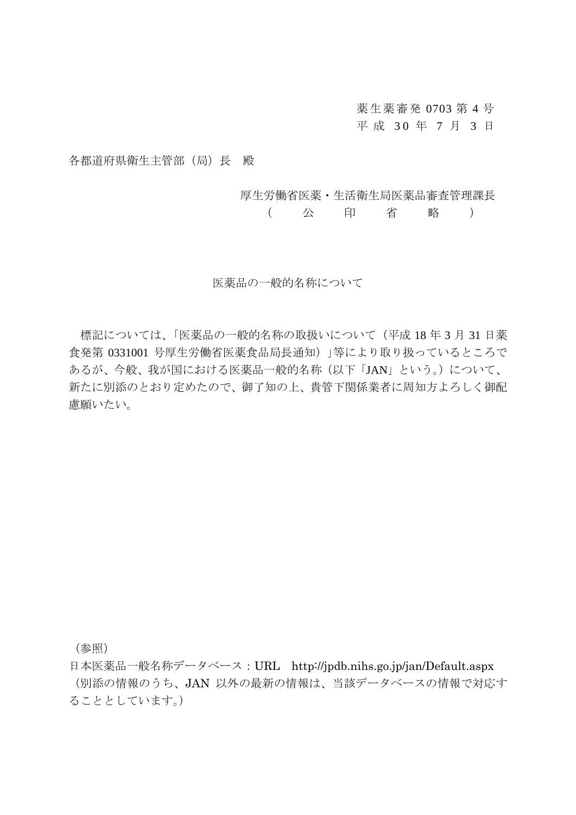薬生薬審発 0703 第 4 号 平 成 3 0 年 7 月 3 日

各都道府県衛生主管部(局)長 殿

厚生労働省医薬・生活衛生局医薬品審査管理課長

( 公 印 省 略 )

医薬品の一般的名称について

標記については、「医薬品の一般的名称の取扱いについて(平成 18 年 3 月 31 日薬 食発第 0331001 号厚生労働省医薬食品局長通知)」等により取り扱っているところで あるが、今般、我が国における医薬品一般的名称(以下「JAN」という。)について、 新たに別添のとおり定めたので、御了知の上、貴管下関係業者に周知方よろしく御配 慮願いたい。

(参照)

日本医薬品一般名称データベース:URL http://jpdb.nihs.go.jp/jan/Default.aspx (別添の情報のうち、JAN 以外の最新の情報は、当該データベースの情報で対応す ることとしています。)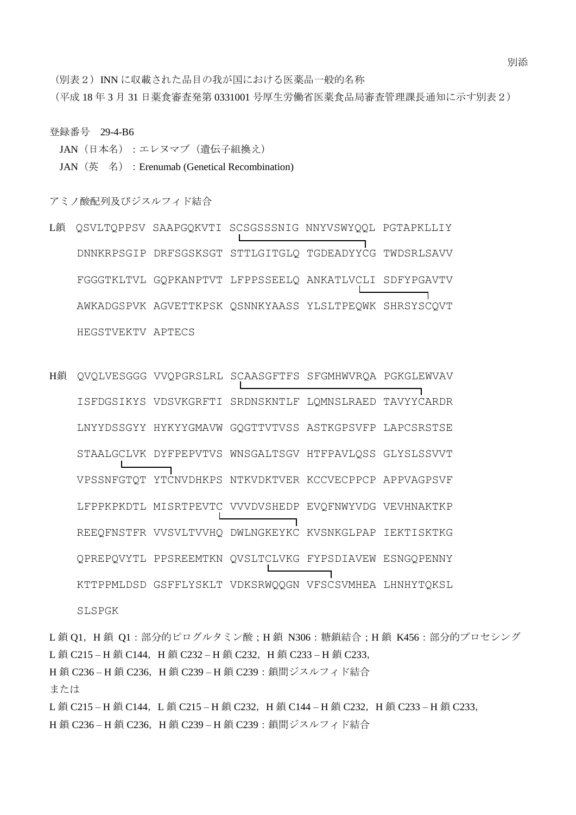(別表2)INN に収載された品目の我が国における医薬品一般的名称 (平成 18 年 3 月 31 日薬食審査発第 0331001 号厚生労働省医薬食品局審査管理課長通知に示す別表2)

## 登録番号 29-4-B6

JAN (日本名):エレヌマブ(遺伝子組換え)

JAN (英 名) : Erenumab (Genetical Recombination)

アミノ酸配列及びジスルフィド結合

- L鎖 QSVLTQPPSV SAAPGQKVTI SCSGSSSNIG NNYVSWYQQL PGTAPKLLIY DNNKRPSGIP DRFSGSKSGT STTLGITGLQ TGDEADYYCG TWDSRLSAVV FGGGTKLTVL GQPKANPTVT LFPPSSEELQ ANKATLVCLI SDFYPGAVTV AWKADGSPVK AGVETTKPSK QSNNKYAASS YLSLTPEQWK SHRSYSCQVT HEGSTVEKTV APTECS
- H鎖 QVQLVESGGG VVQPGRSLRL SCAASGFTFS SFGMHWVRQA PGKGLEWVAV ISFDGSIKYS VDSVKGRFTI SRDNSKNTLF LQMNSLRAED TAVYYCARDR LNYYDSSGYY HYKYYGMAVW GQGTTVTVSS ASTKGPSVFP LAPCSRSTSE STAALGCLVK DYFPEPVTVS WNSGALTSGV HTFPAVLQSS GLYSLSSVVT VPSSNFGTQT YTCNVDHKPS NTKVDKTVER KCCVECPPCP APPVAGPSVF LFPPKPKDTL MISRTPEVTC VVVDVSHEDP EVQFNWYVDG VEVHNAKTKP REEQFNSTFR VVSVLTVVHQ DWLNGKEYKC KVSNKGLPAP IEKTISKTKG QPREPQVYTL PPSREEMTKN QVSLTCLVKG FYPSDIAVEW ESNGQPENNY KTTPPMLDSD GSFFLYSKLT VDKSRWQQGN VFSCSVMHEA LHNHYTQKSL

**SLSPGK** 

L鎖 Q1, H鎖 Q1:部分的ピログルタミン酸;H鎖 N306:糖鎖結合;H鎖 K456:部分的プロセシング L 鎖 C215 – H 鎖 C144, H 鎖 C232 – H 鎖 C232, H 鎖 C233 – H 鎖 C233, H鎖 C236-H鎖 C236, H鎖 C239-H鎖 C239:鎖間ジスルフィド結合 または L 鎖 C215-H 鎖 C144, L 鎖 C215-H 鎖 C232, H 鎖 C144-H 鎖 C232, H 鎖 C233-H 鎖 C233,

H鎖 C236-H鎖 C236, H鎖 C239-H鎖 C239:鎖間ジスルフィド結合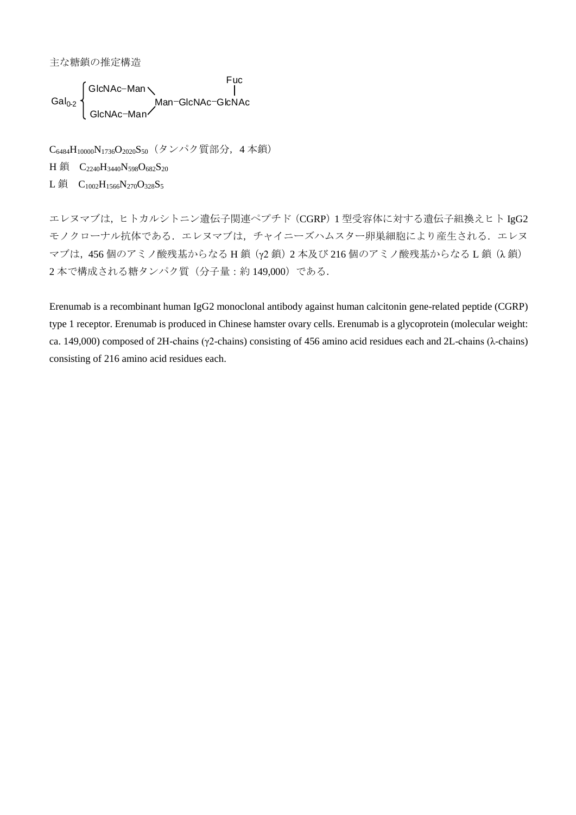主な糖鎖の推定構造

 $Gal_{0.2}$   $\uparrow$  Man-GlcNAc-GlcNAc GlcNAc-Man Fuc GlcNAc-Man

C6484H10000N1736O2020S50(タンパク質部分,4 本鎖) H 鎖 C<sub>2240</sub>H<sub>3440</sub>N<sub>598</sub>O<sub>682</sub>S<sub>20</sub> L鎖 C<sub>1002</sub>H<sub>1566</sub>N<sub>270</sub>O<sub>328</sub>S<sub>5</sub>

エレヌマブは、ヒトカルシトニン遺伝子関連ペプチド (CGRP) 1 型受容体に対する遺伝子組換えヒト IgG2 モノクローナル抗体である. エレヌマブは、チャイニーズハムスター卵巣細胞により産生される. エレヌ マブは,456 個のアミノ酸残基からなる H 鎖(γ2 鎖)2 本及び 216 個のアミノ酸残基からなる L 鎖(λ 鎖) 2 本で構成される糖タンパク質(分子量:約 149,000)である.

Erenumab is a recombinant human IgG2 monoclonal antibody against human calcitonin gene-related peptide (CGRP) type 1 receptor. Erenumab is produced in Chinese hamster ovary cells. Erenumab is a glycoprotein (molecular weight: ca. 149,000) composed of 2H-chains (γ2-chains) consisting of 456 amino acid residues each and 2L-chains (λ-chains) consisting of 216 amino acid residues each.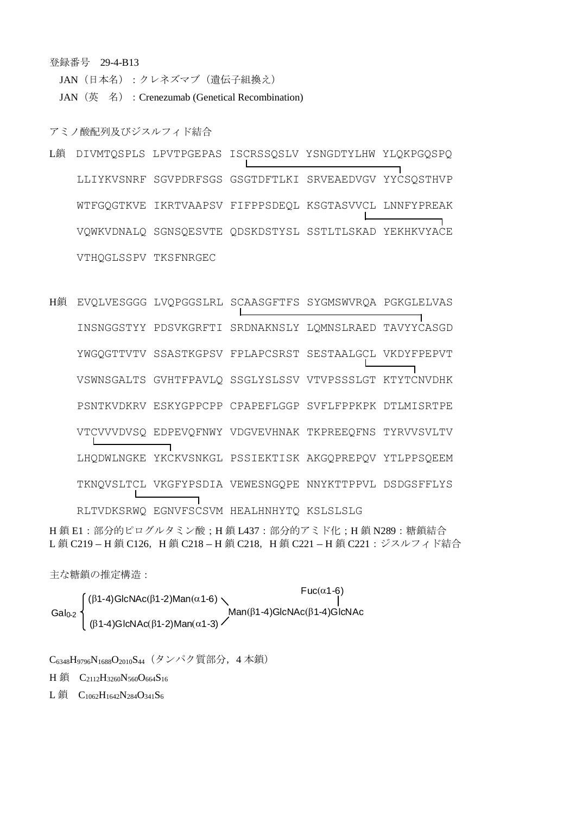登録番号 29-4-B13

JAN(日本名):クレネズマブ(遺伝子組換え)

JAN (英 名) : Crenezumab (Genetical Recombination)

アミノ酸配列及びジスルフィド結合

L鎖 DIVMTQSPLS LPVTPGEPAS ISCRSSQSLV YSNGDTYLHW YLQKPGQSPQ LLIYKVSNRF SGVPDRFSGS GSGTDFTLKI SRVEAEDVGV YYCSQSTHVP WTFGQGTKVE IKRTVAAPSV FIFPPSDEQL KSGTASVVCL LNNFYPREAK VQWKVDNALQ SGNSQESVTE QDSKDSTYSL SSTLTLSKAD YEKHKVYACE VTHQGLSSPV TKSFNRGEC

H鎖 EVQLVESGGG LVQPGGSLRL SCAASGFTFS SYGMSWVRQA PGKGLELVAS INSNGGSTYY PDSVKGRFTI SRDNAKNSLY LQMNSLRAED TAVYYCASGD YWGQGTTVTV SSASTKGPSV FPLAPCSRST SESTAALGCL VKDYFPEPVT VSWNSGALTS GVHTFPAVLQ SSGLYSLSSV VTVPSSSLGT KTYTCNVDHK PSNTKVDKRV ESKYGPPCPP CPAPEFLGGP SVFLFPPKPK DTLMISRTPE VTCVVVDVSQ EDPEVQFNWY VDGVEVHNAK TKPREEQFNS TYRVVSVLTV LHQDWLNGKE YKCKVSNKGL PSSIEKTISK AKGQPREPQV YTLPPSQEEM TKNQVSLTCL VKGFYPSDIA VEWESNGQPE NNYKTTPPVL DSDGSFFLYS RLTVDKSRWQ EGNVFSCSVM HEALHNHYTQ KSLSLSLG H鎖 E1:部分的ピログルタミン酸;H鎖 L437:部分的アミド化;H鎖 N289:糖鎖結合 L鎖 C219-H鎖 C126, H鎖 C218-H鎖 C218, H鎖 C221-H鎖 C221:ジスルフィド結合

主な糖鎖の推定構造:

Gal<sub>0-2</sub>  $\left\{\n\begin{array}{c}\n\text{Man}(\beta_1-4)\text{GlcNAc}(\beta_1-4)\text{GlcNAc}\n\end{array}\n\right\}$  $(\beta$ 1-4)GlcNAc $(\beta$ 1-2)Man $(\alpha$ 1-6)  $Fuc(\alpha)$ -6)  $(\beta$ 1-4)GlcNAc( $\beta$ 1-2)Man( $\alpha$ 1-3)

C<sub>6348</sub>H<sub>9796</sub>N<sub>1688</sub>O<sub>2010</sub>S<sub>44</sub> (タンパク質部分, 4本鎖)

 $H \nleftrightarrow C_{2112}H_{3260}N_{560}O_{664}S_{16}$ 

L鎖  $C_{1062}H_{1642}N_{284}O_{341}S_6$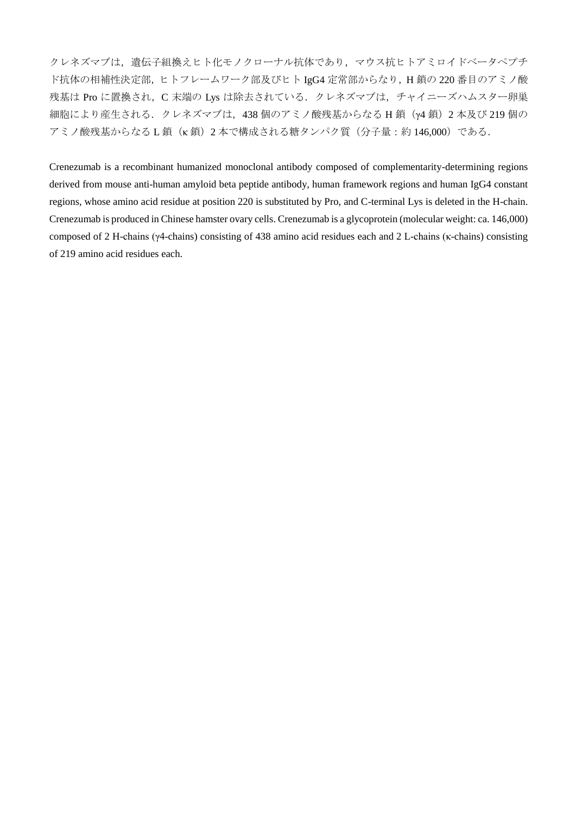クレネズマブは,遺伝子組換えヒト化モノクローナル抗体であり,マウス抗ヒトアミロイドベータペプチ ド抗体の相補性決定部,ヒトフレームワーク部及びヒト IgG4 定常部からなり, H 鎖の 220 番目のアミノ酸 残基は Pro に置換され, C 末端の Lys は除去されている. クレネズマブは, チャイニーズハムスター卵巣 細胞により産生される. クレネズマブは, 438 個のアミノ酸残基からなる H 鎖 (γ4 鎖) 2 本及び 219 個の アミノ酸残基からなるL鎖(κ鎖)2本で構成される糖タンパク質(分子量:約146,000)である.

Crenezumab is a recombinant humanized monoclonal antibody composed of complementarity-determining regions derived from mouse anti-human amyloid beta peptide antibody, human framework regions and human IgG4 constant regions, whose amino acid residue at position 220 is substituted by Pro, and C-terminal Lys is deleted in the H-chain. Crenezumab is produced in Chinese hamster ovary cells. Crenezumab is a glycoprotein (molecular weight: ca. 146,000) composed of 2 H-chains (γ4-chains) consisting of 438 amino acid residues each and 2 L-chains (κ-chains) consisting of 219 amino acid residues each.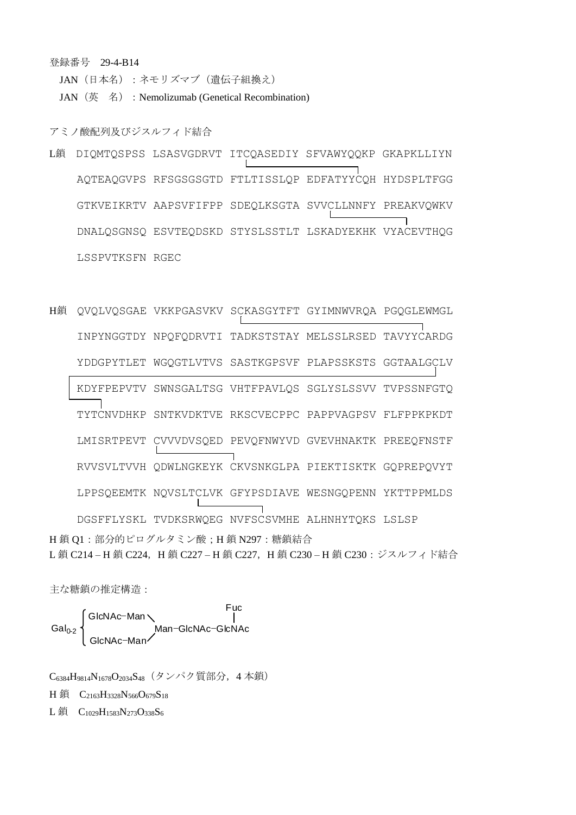登録番号 29-4-B14

JAN(日本名):ネモリズマブ(遺伝子組換え)

JAN (英 名) : Nemolizumab (Genetical Recombination)

アミノ酸配列及びジスルフィド結合

L鎖 DIQMTQSPSS LSASVGDRVT ITCQASEDIY SFVAWYQQKP GKAPKLLIYN AQTEAQGVPS RFSGSGSGTD FTLTISSLQP EDFATYYCQH HYDSPLTFGG GTKVEIKRTV AAPSVFIFPP SDEQLKSGTA SVVCLLNNFY PREAKVQWKV DNALQSGNSQ ESVTEQDSKD STYSLSSTLT LSKADYEKHK VYACEVTHQG LSSPVTKSFN RGEC

H鎖 QVQLVQSGAE VKKPGASVKV SCKASGYTFT GYIMNWVRQA PGQGLEWMGL INPYNGGTDY NPQFQDRVTI TADKSTSTAY MELSSLRSED TAVYYCARDG YDDGPYTLET WGQGTLVTVS SASTKGPSVF PLAPSSKSTS GGTAALGCLV KDYFPEPVTV SWNSGALTSG VHTFPAVLQS SGLYSLSSVV TVPSSNFGTQ TYTCNVDHKP SNTKVDKTVE RKSCVECPPC PAPPVAGPSV FLFPPKPKDT LMISRTPEVT CVVVDVSQED PEVQFNWYVD GVEVHNAKTK PREEQFNSTF RVVSVLTVVH QDWLNGKEYK CKVSNKGLPA PIEKTISKTK GQPREPQVYT LPPSQEEMTK NQVSLTCLVK GFYPSDIAVE WESNGQPENN YKTTPPMLDS DGSFFLYSKL TVDKSRWQEG NVFSCSVMHE ALHNHYTQKS LSLSP H 鎖 Q1:部分的ピログルタミン酸;H 鎖 N297:糖鎖結合 L鎖 C214-H鎖 C224, H鎖 C227-H鎖 C227, H鎖 C230-H鎖 C230:ジスルフィド結合

主な糖鎖の推定構造:

 $Gal_{0-2}$  GIcNAc-Man  $\setminus$  Man-GlcNAc-GlcNAc  $G$ IcNAc-Man $\setminus$ Fuc GlcNAc-Man-

C6384H9814N1678O2034S48(タンパク質部分,4 本鎖) H 鎖 C<sub>2163</sub>H<sub>3328</sub>N<sub>566</sub>O<sub>679</sub>S<sub>18</sub> L鎖 C<sub>1029</sub>H<sub>1583</sub>N<sub>273</sub>O<sub>338</sub>S<sub>6</sub>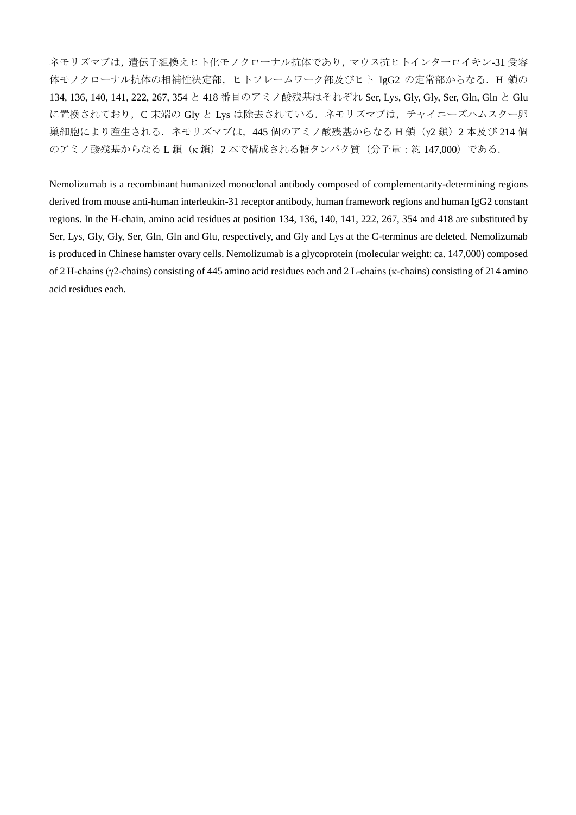ネモリズマブは,遺伝子組換えヒト化モノクローナル抗体であり,マウス抗ヒトインターロイキン-31 受容 体モノクローナル抗体の相補性決定部,ヒトフレームワーク部及びヒト IgG2 の定常部からなる. H 鎖の 134, 136, 140, 141, 222, 267, 354 と 418 番目のアミノ酸残基はそれぞれ Ser, Lys, Gly, Gly, Ser, Gln, Gln と Glu に置換されており、C 末端の Gly と Lys は除去されている. ネモリズマブは、チャイニーズハムスター卵 巣細胞により産生される. ネモリズマブは, 445 個のアミノ酸残基からなる H 鎖 (γ2 鎖) 2 本及び 214 個 のアミノ酸残基からなるL鎖(κ鎖)2本で構成される糖タンパク質(分子量:約147,000)である.

Nemolizumab is a recombinant humanized monoclonal antibody composed of complementarity-determining regions derived from mouse anti-human interleukin-31 receptor antibody, human framework regions and human IgG2 constant regions. In the H-chain, amino acid residues at position 134, 136, 140, 141, 222, 267, 354 and 418 are substituted by Ser, Lys, Gly, Gly, Ser, Gln, Gln and Glu, respectively, and Gly and Lys at the C-terminus are deleted. Nemolizumab is produced in Chinese hamster ovary cells. Nemolizumab is a glycoprotein (molecular weight: ca. 147,000) composed of 2 H-chains (γ2-chains) consisting of 445 amino acid residues each and 2 L-chains (κ-chains) consisting of 214 amino acid residues each.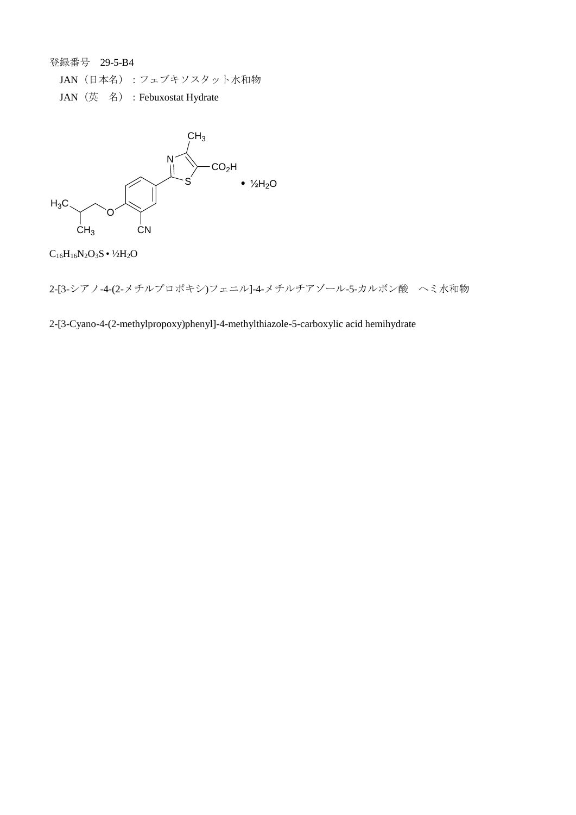登録番号 29-5-B4

- JAN (日本名):フェブキソスタット水和物
- JAN (英名): Febuxostat Hydrate



 $C_{16}H_{16}N_2O_3S \cdot \frac{1}{2}H_2O$ 

2-[3-シアノ-4-(2-メチルプロポキシ)フェニル]-4-メチルチアゾール-5-カルボン酸 ヘミ水和物

2-[3-Cyano-4-(2-methylpropoxy)phenyl]-4-methylthiazole-5-carboxylic acid hemihydrate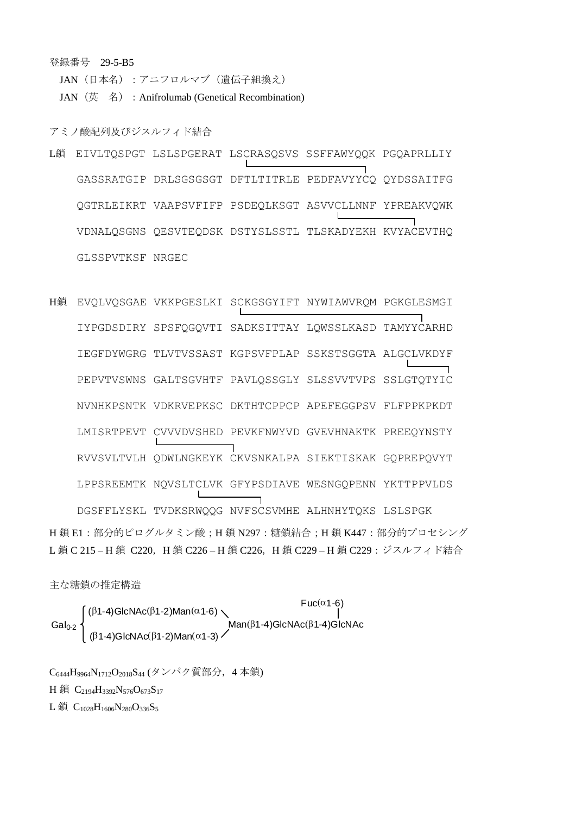登録番号 29-5-B5

JAN(日本名):アニフロルマブ(遺伝子組換え)

JAN (英 名) : Anifrolumab (Genetical Recombination)

アミノ酸配列及びジスルフィド結合

L鎖 EIVLTQSPGT LSLSPGERAT LSCRASQSVS SSFFAWYQQK PGQAPRLLIY GASSRATGIP DRLSGSGSGT DFTLTITRLE PEDFAVYYCQ QYDSSAITFG QGTRLEIKRT VAAPSVFIFP PSDEQLKSGT ASVVCLLNNF YPREAKVQWK VDNALQSGNS QESVTEQDSK DSTYSLSSTL TLSKADYEKH KVYACEVTHQ GLSSPVTKSF NRGEC

H鎖 EVQLVQSGAE VKKPGESLKI SCKGSGYIFT NYWIAWVRQM PGKGLESMGI IYPGDSDIRY SPSFQGQVTI SADKSITTAY LQWSSLKASD TAMYYCARHD IEGFDYWGRG TLVTVSSAST KGPSVFPLAP SSKSTSGGTA ALGCLVKDYF PEPVTVSWNS GALTSGVHTF PAVLQSSGLY SLSSVVTVPS SSLGTQTYIC NVNHKPSNTK VDKRVEPKSC DKTHTCPPCP APEFEGGPSV FLFPPKPKDT LMISRTPEVT CVVVDVSHED PEVKFNWYVD GVEVHNAKTK PREEQYNSTY RVVSVLTVLH QDWLNGKEYK CKVSNKALPA SIEKTISKAK GQPREPQVYT LPPSREEMTK NQVSLTCLVK GFYPSDIAVE WESNGQPENN YKTTPPVLDS DGSFFLYSKL TVDKSRWQQG NVFSCSVMHE ALHNHYTQKS LSLSPGK H 鎖 E1: 部分的ピログルタミン酸;H 鎖 N297: 糖鎖結合;H 鎖 K447: 部分的プロセシング L鎖 C 215-H鎖 C220, H鎖 C226-H鎖 C226, H鎖 C229-H鎖 C229:ジスルフィド結合

主な糖鎖の推定構造

Gal<sub>0-2</sub>  $\left\{\n\begin{array}{c}\n\text{Man}(\beta_1-4)\text{GlcNAc}(\beta_1-4)\text{GlcNAc}\n\end{array}\n\right\}$  $(\beta$ 1-4)GlcNAc $(\beta$ 1-2)Man $(\alpha$ 1-6)  $Fuc(\alpha 1-6)$  $(\beta$ 1-4)GlcNAc( $\beta$ 1-2)Man( $\alpha$ 1-3)

C<sub>6444</sub>H<sub>9964</sub>N<sub>1712</sub>O<sub>2018</sub>S<sub>44</sub> (タンパク質部分, 4本鎖) H 鎖 C<sub>2194</sub>H<sub>3392</sub>N<sub>576</sub>O<sub>673</sub>S<sub>17</sub> L鎖  $C_{1028}H_{1606}N_{280}O_{336}S_5$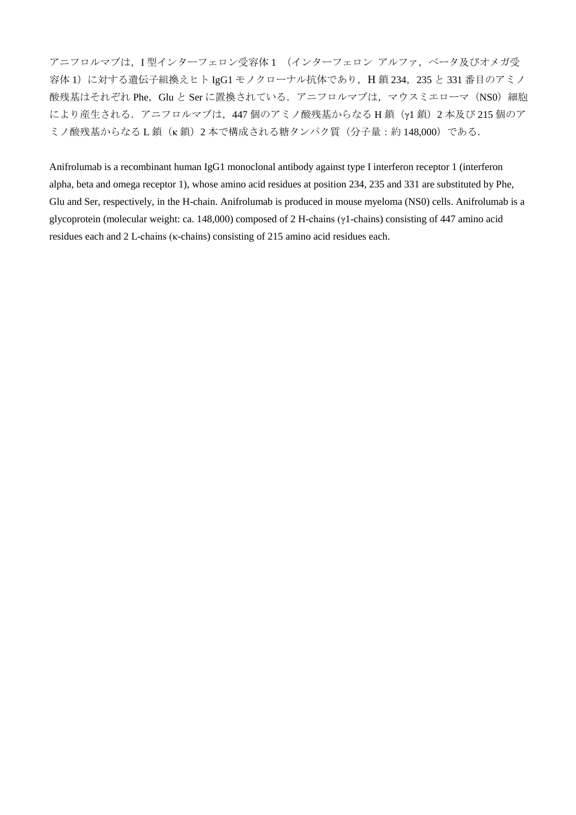アニフロルマブは,I 型インターフェロン受容体 1 (インターフェロン アルファ,ベータ及びオメガ受 容体 1) に対する遺伝子組換えヒト IgG1 モノクローナル抗体であり, H 鎖 234, 235 と 331 番目のアミノ 酸残基はそれぞれ Phe, Glu と Ser に置換されている. アニフロルマブは、マウスミエローマ (NS0) 細胞 により産生される. アニフロルマブは、447 個のアミノ酸残基からなる H 鎖 (y1 鎖) 2 本及び 215 個のア ミノ酸残基からなるL鎖(κ鎖)2本で構成される糖タンパク質(分子量:約148,000)である.

Anifrolumab is a recombinant human IgG1 monoclonal antibody against type I interferon receptor 1 (interferon alpha, beta and omega receptor 1), whose amino acid residues at position 234, 235 and 331 are substituted by Phe, Glu and Ser, respectively, in the H-chain. Anifrolumab is produced in mouse myeloma (NS0) cells. Anifrolumab is a glycoprotein (molecular weight: ca. 148,000) composed of 2 H-chains (γ1-chains) consisting of 447 amino acid residues each and 2 L-chains (κ-chains) consisting of 215 amino acid residues each.